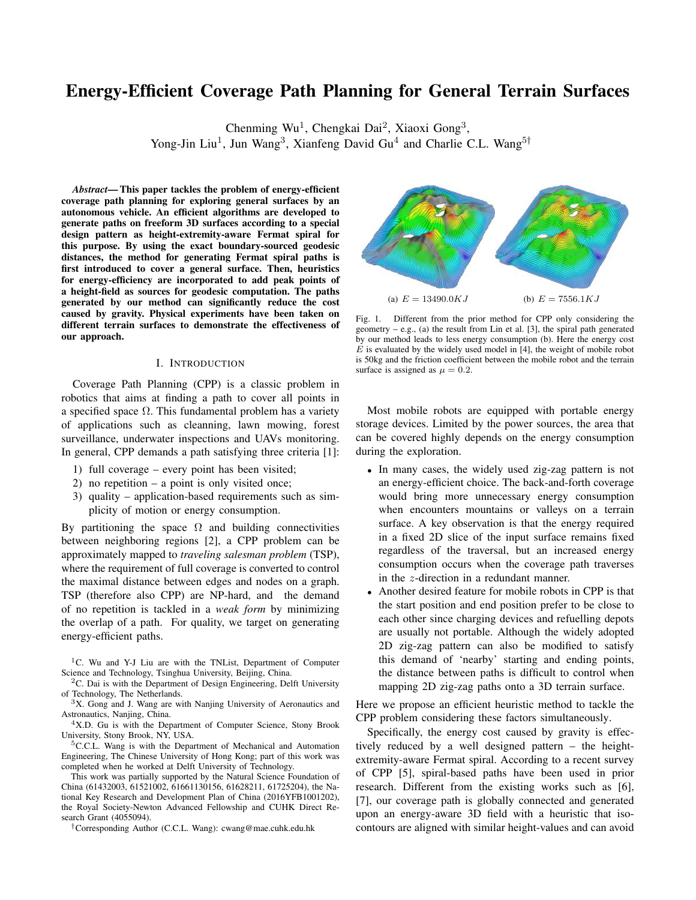# Energy-Efficient Coverage Path Planning for General Terrain Surfaces

Chenming Wu<sup>1</sup>, Chengkai Dai<sup>2</sup>, Xiaoxi Gong<sup>3</sup>, Yong-Jin Liu<sup>1</sup>, Jun Wang<sup>3</sup>, Xianfeng David Gu<sup>4</sup> and Charlie C.L. Wang<sup>5†</sup>

*Abstract*— This paper tackles the problem of energy-efficient coverage path planning for exploring general surfaces by an autonomous vehicle. An efficient algorithms are developed to generate paths on freeform 3D surfaces according to a special design pattern as height-extremity-aware Fermat spiral for this purpose. By using the exact boundary-sourced geodesic distances, the method for generating Fermat spiral paths is first introduced to cover a general surface. Then, heuristics for energy-efficiency are incorporated to add peak points of a height-field as sources for geodesic computation. The paths generated by our method can significantly reduce the cost caused by gravity. Physical experiments have been taken on different terrain surfaces to demonstrate the effectiveness of our approach.

## I. INTRODUCTION

Coverage Path Planning (CPP) is a classic problem in robotics that aims at finding a path to cover all points in a specified space  $\Omega$ . This fundamental problem has a variety of applications such as cleanning, lawn mowing, forest surveillance, underwater inspections and UAVs monitoring. In general, CPP demands a path satisfying three criteria [1]:

- 1) full coverage every point has been visited;
- 2) no repetition a point is only visited once;
- 3) quality application-based requirements such as simplicity of motion or energy consumption.

By partitioning the space  $\Omega$  and building connectivities between neighboring regions [2], a CPP problem can be approximately mapped to *traveling salesman problem* (TSP), where the requirement of full coverage is converted to control the maximal distance between edges and nodes on a graph. TSP (therefore also CPP) are NP-hard, and the demand of no repetition is tackled in a *weak form* by minimizing the overlap of a path. For quality, we target on generating energy-efficient paths.

<sup>1</sup>C. Wu and Y-J Liu are with the TNList, Department of Computer Science and Technology, Tsinghua University, Beijing, China.

 ${}^{2}C$ . Dai is with the Department of Design Engineering, Delft University of Technology, The Netherlands.

<sup>5</sup>C.C.L. Wang is with the Department of Mechanical and Automation Engineering, The Chinese University of Hong Kong; part of this work was completed when he worked at Delft University of Technology.

This work was partially supported by the Natural Science Foundation of China (61432003, 61521002, 61661130156, 61628211, 61725204), the National Key Research and Development Plan of China (2016YFB1001202), the Royal Society-Newton Advanced Fellowship and CUHK Direct Research Grant (4055094).

†Corresponding Author (C.C.L. Wang): cwang@mae.cuhk.edu.hk



Fig. 1. Different from the prior method for CPP only considering the geometry – e.g., (a) the result from Lin et al. [3], the spiral path generated by our method leads to less energy consumption (b). Here the energy cost  $E$  is evaluated by the widely used model in [4], the weight of mobile robot is 50kg and the friction coefficient between the mobile robot and the terrain surface is assigned as  $\mu = 0.2$ .

Most mobile robots are equipped with portable energy storage devices. Limited by the power sources, the area that can be covered highly depends on the energy consumption during the exploration.

- In many cases, the widely used zig-zag pattern is not an energy-efficient choice. The back-and-forth coverage would bring more unnecessary energy consumption when encounters mountains or valleys on a terrain surface. A key observation is that the energy required in a fixed 2D slice of the input surface remains fixed regardless of the traversal, but an increased energy consumption occurs when the coverage path traverses in the z-direction in a redundant manner.
- Another desired feature for mobile robots in CPP is that the start position and end position prefer to be close to each other since charging devices and refuelling depots are usually not portable. Although the widely adopted 2D zig-zag pattern can also be modified to satisfy this demand of 'nearby' starting and ending points, the distance between paths is difficult to control when mapping 2D zig-zag paths onto a 3D terrain surface.

Here we propose an efficient heuristic method to tackle the CPP problem considering these factors simultaneously.

Specifically, the energy cost caused by gravity is effectively reduced by a well designed pattern – the heightextremity-aware Fermat spiral. According to a recent survey of CPP [5], spiral-based paths have been used in prior research. Different from the existing works such as [6], [7], our coverage path is globally connected and generated upon an energy-aware 3D field with a heuristic that isocontours are aligned with similar height-values and can avoid

<sup>3</sup>X. Gong and J. Wang are with Nanjing University of Aeronautics and Astronautics, Nanjing, China.

<sup>&</sup>lt;sup>4</sup>X.D. Gu is with the Department of Computer Science, Stony Brook University, Stony Brook, NY, USA.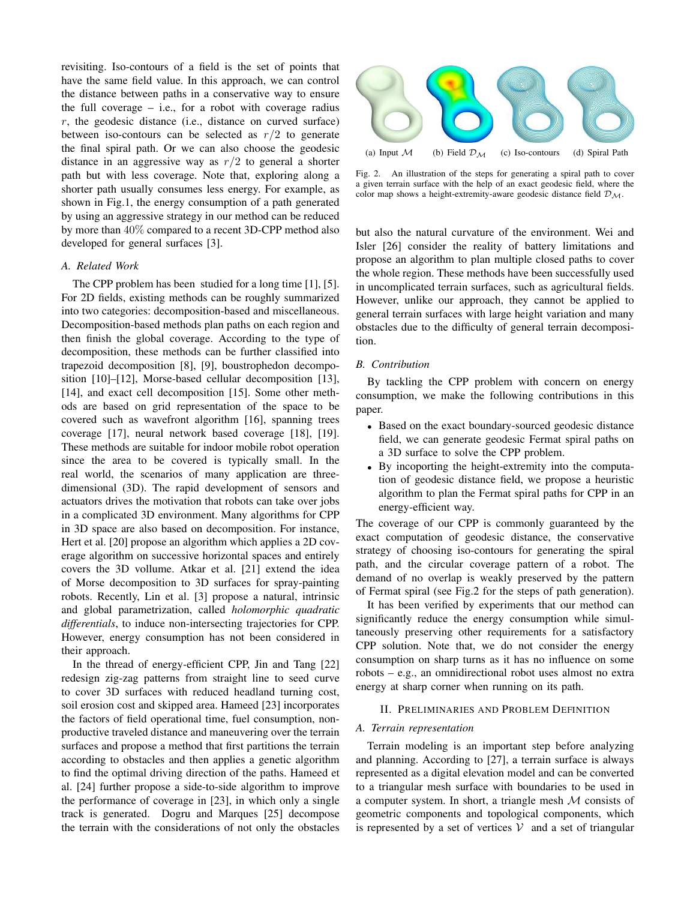revisiting. Iso-contours of a field is the set of points that have the same field value. In this approach, we can control the distance between paths in a conservative way to ensure the full coverage  $-$  i.e., for a robot with coverage radius  $r$ , the geodesic distance (i.e., distance on curved surface) between iso-contours can be selected as  $r/2$  to generate the final spiral path. Or we can also choose the geodesic distance in an aggressive way as  $r/2$  to general a shorter path but with less coverage. Note that, exploring along a shorter path usually consumes less energy. For example, as shown in Fig.1, the energy consumption of a path generated by using an aggressive strategy in our method can be reduced by more than 40% compared to a recent 3D-CPP method also developed for general surfaces [3].

## *A. Related Work*

The CPP problem has been studied for a long time [1], [5]. For 2D fields, existing methods can be roughly summarized into two categories: decomposition-based and miscellaneous. Decomposition-based methods plan paths on each region and then finish the global coverage. According to the type of decomposition, these methods can be further classified into trapezoid decomposition [8], [9], boustrophedon decomposition [10]–[12], Morse-based cellular decomposition [13], [14], and exact cell decomposition [15]. Some other methods are based on grid representation of the space to be covered such as wavefront algorithm [16], spanning trees coverage [17], neural network based coverage [18], [19]. These methods are suitable for indoor mobile robot operation since the area to be covered is typically small. In the real world, the scenarios of many application are threedimensional (3D). The rapid development of sensors and actuators drives the motivation that robots can take over jobs in a complicated 3D environment. Many algorithms for CPP in 3D space are also based on decomposition. For instance, Hert et al. [20] propose an algorithm which applies a 2D coverage algorithm on successive horizontal spaces and entirely covers the 3D vollume. Atkar et al. [21] extend the idea of Morse decomposition to 3D surfaces for spray-painting robots. Recently, Lin et al. [3] propose a natural, intrinsic and global parametrization, called *holomorphic quadratic differentials*, to induce non-intersecting trajectories for CPP. However, energy consumption has not been considered in their approach.

In the thread of energy-efficient CPP, Jin and Tang [22] redesign zig-zag patterns from straight line to seed curve to cover 3D surfaces with reduced headland turning cost, soil erosion cost and skipped area. Hameed [23] incorporates the factors of field operational time, fuel consumption, nonproductive traveled distance and maneuvering over the terrain surfaces and propose a method that first partitions the terrain according to obstacles and then applies a genetic algorithm to find the optimal driving direction of the paths. Hameed et al. [24] further propose a side-to-side algorithm to improve the performance of coverage in [23], in which only a single track is generated. Dogru and Marques [25] decompose the terrain with the considerations of not only the obstacles



Fig. 2. An illustration of the steps for generating a spiral path to cover a given terrain surface with the help of an exact geodesic field, where the color map shows a height-extremity-aware geodesic distance field  $\mathcal{D}_{\mathcal{M}}$ .

but also the natural curvature of the environment. Wei and Isler [26] consider the reality of battery limitations and propose an algorithm to plan multiple closed paths to cover the whole region. These methods have been successfully used in uncomplicated terrain surfaces, such as agricultural fields. However, unlike our approach, they cannot be applied to general terrain surfaces with large height variation and many obstacles due to the difficulty of general terrain decomposition.

## *B. Contribution*

By tackling the CPP problem with concern on energy consumption, we make the following contributions in this paper.

- Based on the exact boundary-sourced geodesic distance field, we can generate geodesic Fermat spiral paths on a 3D surface to solve the CPP problem.
- By incoporting the height-extremity into the computation of geodesic distance field, we propose a heuristic algorithm to plan the Fermat spiral paths for CPP in an energy-efficient way.

The coverage of our CPP is commonly guaranteed by the exact computation of geodesic distance, the conservative strategy of choosing iso-contours for generating the spiral path, and the circular coverage pattern of a robot. The demand of no overlap is weakly preserved by the pattern of Fermat spiral (see Fig.2 for the steps of path generation).

It has been verified by experiments that our method can significantly reduce the energy consumption while simultaneously preserving other requirements for a satisfactory CPP solution. Note that, we do not consider the energy consumption on sharp turns as it has no influence on some robots – e.g., an omnidirectional robot uses almost no extra energy at sharp corner when running on its path.

#### II. PRELIMINARIES AND PROBLEM DEFINITION

## *A. Terrain representation*

Terrain modeling is an important step before analyzing and planning. According to [27], a terrain surface is always represented as a digital elevation model and can be converted to a triangular mesh surface with boundaries to be used in a computer system. In short, a triangle mesh  $M$  consists of geometric components and topological components, which is represented by a set of vertices  $V$  and a set of triangular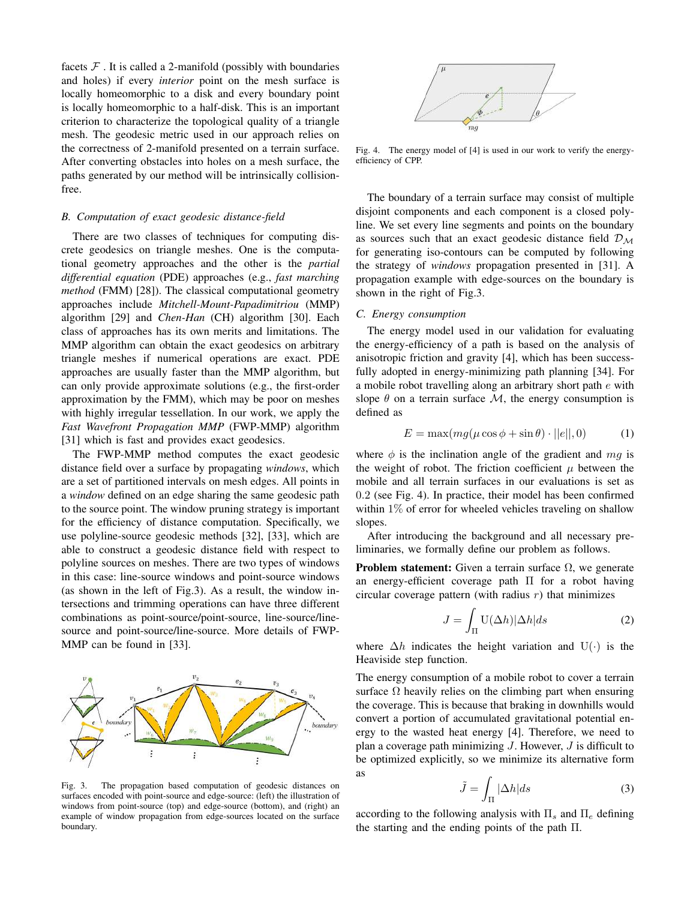facets  $F$ . It is called a 2-manifold (possibly with boundaries and holes) if every *interior* point on the mesh surface is locally homeomorphic to a disk and every boundary point is locally homeomorphic to a half-disk. This is an important criterion to characterize the topological quality of a triangle mesh. The geodesic metric used in our approach relies on the correctness of 2-manifold presented on a terrain surface. After converting obstacles into holes on a mesh surface, the paths generated by our method will be intrinsically collisionfree.

# *B. Computation of exact geodesic distance-field*

There are two classes of techniques for computing discrete geodesics on triangle meshes. One is the computational geometry approaches and the other is the *partial differential equation* (PDE) approaches (e.g., *fast marching method* (FMM) [28]). The classical computational geometry approaches include *Mitchell-Mount-Papadimitriou* (MMP) algorithm [29] and *Chen-Han* (CH) algorithm [30]. Each class of approaches has its own merits and limitations. The MMP algorithm can obtain the exact geodesics on arbitrary triangle meshes if numerical operations are exact. PDE approaches are usually faster than the MMP algorithm, but can only provide approximate solutions (e.g., the first-order approximation by the FMM), which may be poor on meshes with highly irregular tessellation. In our work, we apply the *Fast Wavefront Propagation MMP* (FWP-MMP) algorithm [31] which is fast and provides exact geodesics.

The FWP-MMP method computes the exact geodesic distance field over a surface by propagating *windows*, which are a set of partitioned intervals on mesh edges. All points in a *window* defined on an edge sharing the same geodesic path to the source point. The window pruning strategy is important for the efficiency of distance computation. Specifically, we use polyline-source geodesic methods [32], [33], which are able to construct a geodesic distance field with respect to polyline sources on meshes. There are two types of windows in this case: line-source windows and point-source windows (as shown in the left of Fig.3). As a result, the window intersections and trimming operations can have three different combinations as point-source/point-source, line-source/linesource and point-source/line-source. More details of FWP-MMP can be found in [33].



Fig. 3. The propagation based computation of geodesic distances on surfaces encoded with point-source and edge-source: (left) the illustration of windows from point-source (top) and edge-source (bottom), and (right) an example of window propagation from edge-sources located on the surface boundary.



Fig. 4. The energy model of [4] is used in our work to verify the energyefficiency of CPP.

The boundary of a terrain surface may consist of multiple disjoint components and each component is a closed polyline. We set every line segments and points on the boundary as sources such that an exact geodesic distance field  $\mathcal{D}_{\mathcal{M}}$ for generating iso-contours can be computed by following the strategy of *windows* propagation presented in [31]. A propagation example with edge-sources on the boundary is shown in the right of Fig.3.

## *C. Energy consumption*

The energy model used in our validation for evaluating the energy-efficiency of a path is based on the analysis of anisotropic friction and gravity [4], which has been successfully adopted in energy-minimizing path planning [34]. For a mobile robot travelling along an arbitrary short path e with slope  $\theta$  on a terrain surface M, the energy consumption is defined as

$$
E = \max(mg(\mu\cos\phi + \sin\theta) \cdot ||e||, 0)
$$
 (1)

where  $\phi$  is the inclination angle of the gradient and mg is the weight of robot. The friction coefficient  $\mu$  between the mobile and all terrain surfaces in our evaluations is set as 0.2 (see Fig. 4). In practice, their model has been confirmed within  $1\%$  of error for wheeled vehicles traveling on shallow slopes.

After introducing the background and all necessary preliminaries, we formally define our problem as follows.

**Problem statement:** Given a terrain surface  $\Omega$ , we generate an energy-efficient coverage path Π for a robot having circular coverage pattern (with radius  $r$ ) that minimizes

$$
J = \int_{\Pi} \mathcal{U}(\Delta h) |\Delta h| ds \tag{2}
$$

where  $\Delta h$  indicates the height variation and U(·) is the Heaviside step function.

The energy consumption of a mobile robot to cover a terrain surface  $\Omega$  heavily relies on the climbing part when ensuring the coverage. This is because that braking in downhills would convert a portion of accumulated gravitational potential energy to the wasted heat energy [4]. Therefore, we need to plan a coverage path minimizing  $J$ . However,  $J$  is difficult to be optimized explicitly, so we minimize its alternative form as

$$
\tilde{J} = \int_{\Pi} |\Delta h| ds \tag{3}
$$

according to the following analysis with  $\Pi_s$  and  $\Pi_e$  defining the starting and the ending points of the path Π.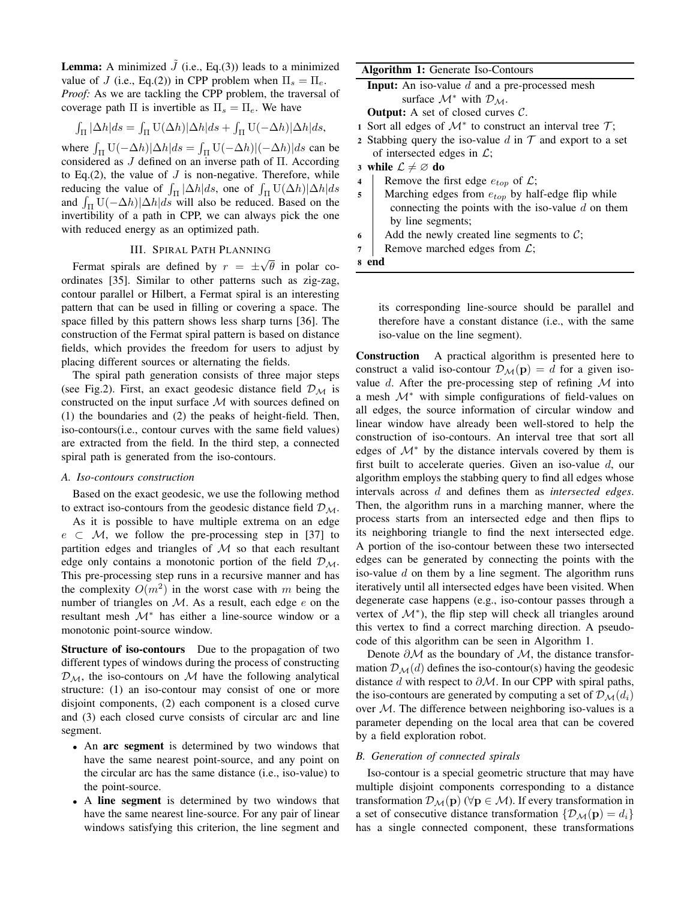**Lemma:** A minimized  $\tilde{J}$  (i.e., Eq.(3)) leads to a minimized value of J (i.e., Eq.(2)) in CPP problem when  $\Pi_s = \Pi_e$ . *Proof:* As we are tackling the CPP problem, the traversal of coverage path  $\Pi$  is invertible as  $\Pi_s = \Pi_e$ . We have

$$
\int_{\Pi} |\Delta h| ds = \int_{\Pi} \mathbf{U}(\Delta h)|\Delta h| ds + \int_{\Pi} \mathbf{U}(-\Delta h)|\Delta h| ds,
$$

where  $\int_{\Pi} \mathrm{U}(-\Delta h)|\Delta h|ds = \int_{\Pi} \mathrm{U}(-\Delta h)|(-\Delta h)|ds$  can be considered as J defined on an inverse path of Π. According to Eq.(2), the value of  $J$  is non-negative. Therefore, while reducing the value of  $\int_{\Pi} |\Delta h| ds$ , one of  $\int_{\Pi} U(\Delta h)|\Delta h| ds$ and  $\int_{\Pi} \mathrm{U}(-\Delta h)|\Delta h|ds$  will also be reduced. Based on the invertibility of a path in CPP, we can always pick the one with reduced energy as an optimized path.

#### III. SPIRAL PATH PLANNING √

Fermat spirals are defined by  $r = \pm$  $\theta$  in polar coordinates [35]. Similar to other patterns such as zig-zag, contour parallel or Hilbert, a Fermat spiral is an interesting pattern that can be used in filling or covering a space. The space filled by this pattern shows less sharp turns [36]. The construction of the Fermat spiral pattern is based on distance fields, which provides the freedom for users to adjust by placing different sources or alternating the fields.

The spiral path generation consists of three major steps (see Fig.2). First, an exact geodesic distance field  $\mathcal{D}_{\mathcal{M}}$  is constructed on the input surface  $M$  with sources defined on (1) the boundaries and (2) the peaks of height-field. Then, iso-contours(i.e., contour curves with the same field values) are extracted from the field. In the third step, a connected spiral path is generated from the iso-contours.

#### *A. Iso-contours construction*

Based on the exact geodesic, we use the following method to extract iso-contours from the geodesic distance field  $\mathcal{D}_{\mathcal{M}}$ .

As it is possible to have multiple extrema on an edge  $e \subset M$ , we follow the pre-processing step in [37] to partition edges and triangles of  $M$  so that each resultant edge only contains a monotonic portion of the field  $\mathcal{D}_{\mathcal{M}}$ . This pre-processing step runs in a recursive manner and has the complexity  $O(m^2)$  in the worst case with m being the number of triangles on  $M$ . As a result, each edge  $e$  on the resultant mesh M<sup>∗</sup> has either a line-source window or a monotonic point-source window.

Structure of iso-contours Due to the propagation of two different types of windows during the process of constructing  $\mathcal{D}_M$ , the iso-contours on M have the following analytical structure: (1) an iso-contour may consist of one or more disjoint components, (2) each component is a closed curve and (3) each closed curve consists of circular arc and line segment.

- An arc segment is determined by two windows that have the same nearest point-source, and any point on the circular arc has the same distance (i.e., iso-value) to the point-source.
- A line segment is determined by two windows that have the same nearest line-source. For any pair of linear windows satisfying this criterion, the line segment and

| <b>Algorithm 1:</b> Generate Iso-Contours |                                                                                   |  |  |  |  |  |
|-------------------------------------------|-----------------------------------------------------------------------------------|--|--|--|--|--|
|                                           | <b>Input:</b> An iso-value $d$ and a pre-processed mesh                           |  |  |  |  |  |
|                                           | surface $\mathcal{M}^*$ with $\mathcal{D}_M$ .                                    |  |  |  |  |  |
|                                           | <b>Output:</b> A set of closed curves $C$ .                                       |  |  |  |  |  |
|                                           | 1 Sort all edges of $\mathcal{M}^*$ to construct an interval tree $\mathcal{T}$ ; |  |  |  |  |  |
|                                           | 2 Stabbing query the iso-value d in $\mathcal T$ and export to a set              |  |  |  |  |  |

- of intersected edges in  $\mathcal{L}$ ;
- 3 while  $\mathcal{L} \neq \emptyset$  do
- 4 Remove the first edge  $e_{top}$  of  $\mathcal{L}$ ;
- 5 Marching edges from  $e_{top}$  by half-edge flip while connecting the points with the iso-value  $d$  on them by line segments;
- 6 Add the newly created line segments to  $C$ ;
- 7 | Remove marched edges from  $\mathcal{L}$ ;

8 end

its corresponding line-source should be parallel and therefore have a constant distance (i.e., with the same iso-value on the line segment).

Construction A practical algorithm is presented here to construct a valid iso-contour  $\mathcal{D}_{\mathcal{M}}(\mathbf{p}) = d$  for a given isovalue d. After the pre-processing step of refining  $\mathcal M$  into a mesh M<sup>∗</sup> with simple configurations of field-values on all edges, the source information of circular window and linear window have already been well-stored to help the construction of iso-contours. An interval tree that sort all edges of  $\mathcal{M}^*$  by the distance intervals covered by them is first built to accelerate queries. Given an iso-value  $d$ , our algorithm employs the stabbing query to find all edges whose intervals across d and defines them as *intersected edges*. Then, the algorithm runs in a marching manner, where the process starts from an intersected edge and then flips to its neighboring triangle to find the next intersected edge. A portion of the iso-contour between these two intersected edges can be generated by connecting the points with the iso-value  $d$  on them by a line segment. The algorithm runs iteratively until all intersected edges have been visited. When degenerate case happens (e.g., iso-contour passes through a vertex of  $\mathcal{M}^*$ ), the flip step will check all triangles around this vertex to find a correct marching direction. A pseudocode of this algorithm can be seen in Algorithm 1.

Denote  $\partial M$  as the boundary of  $M$ , the distance transformation  $\mathcal{D}_{\mathcal{M}}(d)$  defines the iso-contour(s) having the geodesic distance d with respect to  $\partial M$ . In our CPP with spiral paths, the iso-contours are generated by computing a set of  $\mathcal{D}_{\mathcal{M}}(d_i)$ over  $M$ . The difference between neighboring iso-values is a parameter depending on the local area that can be covered by a field exploration robot.

## *B. Generation of connected spirals*

Iso-contour is a special geometric structure that may have multiple disjoint components corresponding to a distance transformation  $\mathcal{D}_{\mathcal{M}}(\mathbf{p})$  ( $\forall \mathbf{p} \in \mathcal{M}$ ). If every transformation in a set of consecutive distance transformation  $\{D_{\mathcal{M}}(\mathbf{p}) = d_i\}$ has a single connected component, these transformations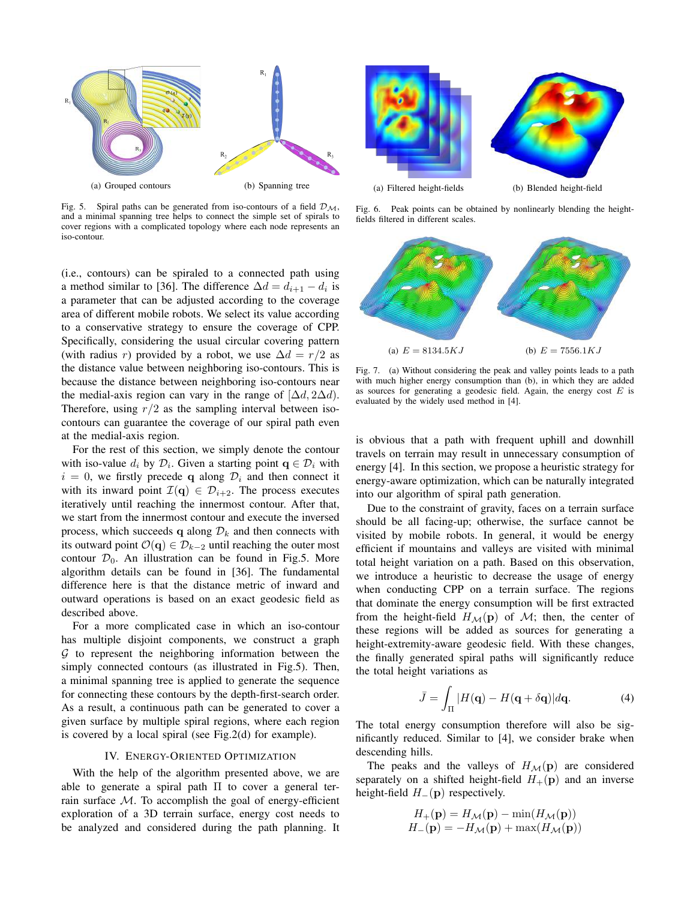

Fig. 5. Spiral paths can be generated from iso-contours of a field  $\mathcal{D}_{\mathcal{M}}$ , and a minimal spanning tree helps to connect the simple set of spirals to cover regions with a complicated topology where each node represents an iso-contour.

(i.e., contours) can be spiraled to a connected path using a method similar to [36]. The difference  $\Delta d = d_{i+1} - d_i$  is a parameter that can be adjusted according to the coverage area of different mobile robots. We select its value according to a conservative strategy to ensure the coverage of CPP. Specifically, considering the usual circular covering pattern (with radius r) provided by a robot, we use  $\Delta d = r/2$  as the distance value between neighboring iso-contours. This is because the distance between neighboring iso-contours near the medial-axis region can vary in the range of  $[\Delta d, 2\Delta d]$ . Therefore, using  $r/2$  as the sampling interval between isocontours can guarantee the coverage of our spiral path even at the medial-axis region.

For the rest of this section, we simply denote the contour with iso-value  $d_i$  by  $\mathcal{D}_i$ . Given a starting point  $\mathbf{q} \in \mathcal{D}_i$  with  $i = 0$ , we firstly precede q along  $\mathcal{D}_i$  and then connect it with its inward point  $\mathcal{I}(\mathbf{q}) \in \mathcal{D}_{i+2}$ . The process executes iteratively until reaching the innermost contour. After that, we start from the innermost contour and execute the inversed process, which succeeds q along  $\mathcal{D}_k$  and then connects with its outward point  $\mathcal{O}(\mathbf{q}) \in \mathcal{D}_{k-2}$  until reaching the outer most contour  $\mathcal{D}_0$ . An illustration can be found in Fig.5. More algorithm details can be found in [36]. The fundamental difference here is that the distance metric of inward and outward operations is based on an exact geodesic field as described above.

For a more complicated case in which an iso-contour has multiple disjoint components, we construct a graph  $G$  to represent the neighboring information between the simply connected contours (as illustrated in Fig.5). Then, a minimal spanning tree is applied to generate the sequence for connecting these contours by the depth-first-search order. As a result, a continuous path can be generated to cover a given surface by multiple spiral regions, where each region is covered by a local spiral (see Fig.2(d) for example).

## IV. ENERGY-ORIENTED OPTIMIZATION

With the help of the algorithm presented above, we are able to generate a spiral path Π to cover a general terrain surface  $M$ . To accomplish the goal of energy-efficient exploration of a 3D terrain surface, energy cost needs to be analyzed and considered during the path planning. It



Fig. 6. Peak points can be obtained by nonlinearly blending the heightfields filtered in different scales.



Fig. 7. (a) Without considering the peak and valley points leads to a path with much higher energy consumption than (b), in which they are added as sources for generating a geodesic field. Again, the energy cost  $E$  is evaluated by the widely used method in [4].

is obvious that a path with frequent uphill and downhill travels on terrain may result in unnecessary consumption of energy [4]. In this section, we propose a heuristic strategy for energy-aware optimization, which can be naturally integrated into our algorithm of spiral path generation.

Due to the constraint of gravity, faces on a terrain surface should be all facing-up; otherwise, the surface cannot be visited by mobile robots. In general, it would be energy efficient if mountains and valleys are visited with minimal total height variation on a path. Based on this observation, we introduce a heuristic to decrease the usage of energy when conducting CPP on a terrain surface. The regions that dominate the energy consumption will be first extracted from the height-field  $H_{\mathcal{M}}(\mathbf{p})$  of  $\mathcal{M}$ ; then, the center of these regions will be added as sources for generating a height-extremity-aware geodesic field. With these changes, the finally generated spiral paths will significantly reduce the total height variations as

$$
\bar{J} = \int_{\Pi} |H(\mathbf{q}) - H(\mathbf{q} + \delta \mathbf{q})| d\mathbf{q}.
$$
 (4)

The total energy consumption therefore will also be significantly reduced. Similar to [4], we consider brake when descending hills.

The peaks and the valleys of  $H_{\mathcal{M}}(\mathbf{p})$  are considered separately on a shifted height-field  $H_+(\mathbf{p})$  and an inverse height-field  $H_-(\mathbf{p})$  respectively.

$$
H_{+}(\mathbf{p}) = H_{\mathcal{M}}(\mathbf{p}) - \min(H_{\mathcal{M}}(\mathbf{p}))
$$
  

$$
H_{-}(\mathbf{p}) = -H_{\mathcal{M}}(\mathbf{p}) + \max(H_{\mathcal{M}}(\mathbf{p}))
$$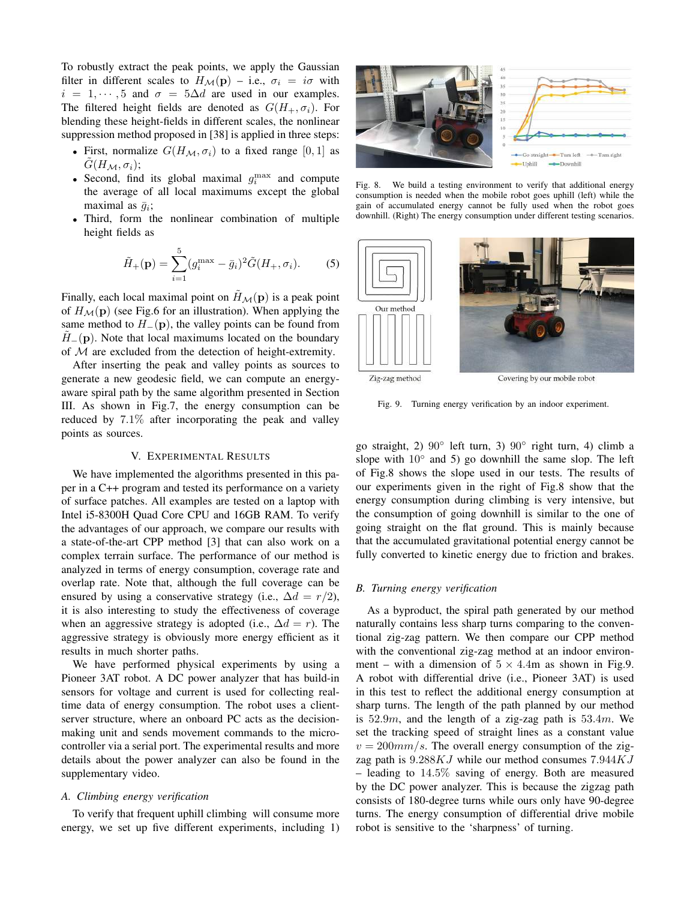To robustly extract the peak points, we apply the Gaussian filter in different scales to  $H_{\mathcal{M}}(\mathbf{p})$  – i.e.,  $\sigma_i = i\sigma$  with  $i = 1, \dots, 5$  and  $\sigma = 5\Delta d$  are used in our examples. The filtered height fields are denoted as  $G(H_+,\sigma_i)$ . For blending these height-fields in different scales, the nonlinear suppression method proposed in [38] is applied in three steps:

- First, normalize  $G(H_M, \sigma_i)$  to a fixed range [0, 1] as  $G(H_M, \sigma_i);$
- Second, find its global maximal  $g_i^{\text{max}}$  and compute the average of all local maximums except the global maximal as  $\bar{g}_i$ ;
- Third, form the nonlinear combination of multiple height fields as

$$
\tilde{H}_{+}(\mathbf{p}) = \sum_{i=1}^{5} (g_i^{\max} - \bar{g}_i)^2 \tilde{G}(H_+, \sigma_i). \tag{5}
$$

Finally, each local maximal point on  $H<sub>M</sub>(p)$  is a peak point of  $H_M(p)$  (see Fig.6 for an illustration). When applying the same method to  $H_-(p)$ , the valley points can be found from  $H_-(p)$ . Note that local maximums located on the boundary of  $M$  are excluded from the detection of height-extremity.

After inserting the peak and valley points as sources to generate a new geodesic field, we can compute an energyaware spiral path by the same algorithm presented in Section III. As shown in Fig.7, the energy consumption can be reduced by 7.1% after incorporating the peak and valley points as sources.

## V. EXPERIMENTAL RESULTS

We have implemented the algorithms presented in this paper in a C++ program and tested its performance on a variety of surface patches. All examples are tested on a laptop with Intel i5-8300H Quad Core CPU and 16GB RAM. To verify the advantages of our approach, we compare our results with a state-of-the-art CPP method [3] that can also work on a complex terrain surface. The performance of our method is analyzed in terms of energy consumption, coverage rate and overlap rate. Note that, although the full coverage can be ensured by using a conservative strategy (i.e.,  $\Delta d = r/2$ ), it is also interesting to study the effectiveness of coverage when an aggressive strategy is adopted (i.e.,  $\Delta d = r$ ). The aggressive strategy is obviously more energy efficient as it results in much shorter paths.

We have performed physical experiments by using a Pioneer 3AT robot. A DC power analyzer that has build-in sensors for voltage and current is used for collecting realtime data of energy consumption. The robot uses a clientserver structure, where an onboard PC acts as the decisionmaking unit and sends movement commands to the microcontroller via a serial port. The experimental results and more details about the power analyzer can also be found in the supplementary video.

### *A. Climbing energy verification*

To verify that frequent uphill climbing will consume more energy, we set up five different experiments, including 1)



Fig. 8. We build a testing environment to verify that additional energy consumption is needed when the mobile robot goes uphill (left) while the gain of accumulated energy cannot be fully used when the robot goes downhill. (Right) The energy consumption under different testing scenarios.



Fig. 9. Turning energy verification by an indoor experiment.

go straight, 2) 90◦ left turn, 3) 90◦ right turn, 4) climb a slope with  $10°$  and 5) go downhill the same slop. The left of Fig.8 shows the slope used in our tests. The results of our experiments given in the right of Fig.8 show that the energy consumption during climbing is very intensive, but the consumption of going downhill is similar to the one of going straight on the flat ground. This is mainly because that the accumulated gravitational potential energy cannot be fully converted to kinetic energy due to friction and brakes.

# *B. Turning energy verification*

As a byproduct, the spiral path generated by our method naturally contains less sharp turns comparing to the conventional zig-zag pattern. We then compare our CPP method with the conventional zig-zag method at an indoor environment – with a dimension of  $5 \times 4.4$ m as shown in Fig.9. A robot with differential drive (i.e., Pioneer 3AT) is used in this test to reflect the additional energy consumption at sharp turns. The length of the path planned by our method is  $52.9m$ , and the length of a zig-zag path is  $53.4m$ . We set the tracking speed of straight lines as a constant value  $v = 200 \, \text{mm/s}$ . The overall energy consumption of the zigzag path is  $9.288KJ$  while our method consumes  $7.944KJ$ – leading to  $14.5\%$  saving of energy. Both are measured by the DC power analyzer. This is because the zigzag path consists of 180-degree turns while ours only have 90-degree turns. The energy consumption of differential drive mobile robot is sensitive to the 'sharpness' of turning.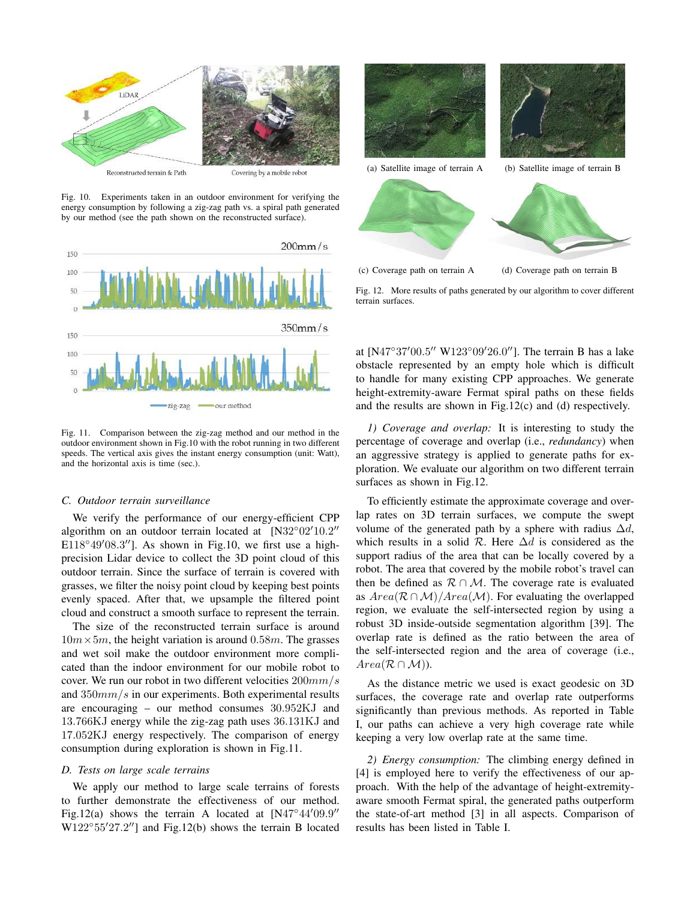

Fig. 10. Experiments taken in an outdoor environment for verifying the energy consumption by following a zig-zag path vs. a spiral path generated by our method (see the path shown on the reconstructed surface).



Fig. 11. Comparison between the zig-zag method and our method in the outdoor environment shown in Fig.10 with the robot running in two different speeds. The vertical axis gives the instant energy consumption (unit: Watt), and the horizontal axis is time (sec.).

## *C. Outdoor terrain surveillance*

We verify the performance of our energy-efficient CPP algorithm on an outdoor terrain located at  $[N32^{\circ}02'10.2"$ E118°49′08.3"]. As shown in Fig.10, we first use a highprecision Lidar device to collect the 3D point cloud of this outdoor terrain. Since the surface of terrain is covered with grasses, we filter the noisy point cloud by keeping best points evenly spaced. After that, we upsample the filtered point cloud and construct a smooth surface to represent the terrain.

The size of the reconstructed terrain surface is around  $10m \times 5m$ , the height variation is around 0.58m. The grasses and wet soil make the outdoor environment more complicated than the indoor environment for our mobile robot to cover. We run our robot in two different velocities 200mm/s and  $350mm/s$  in our experiments. Both experimental results are encouraging – our method consumes 30.952KJ and 13.766KJ energy while the zig-zag path uses 36.131KJ and 17.052KJ energy respectively. The comparison of energy consumption during exploration is shown in Fig.11.

# *D. Tests on large scale terrains*

We apply our method to large scale terrains of forests to further demonstrate the effectiveness of our method. Fig.12(a) shows the terrain A located at  $[N47^\circ44'09.9"$  $W122^{\circ}55'27.2''$ ] and Fig.12(b) shows the terrain B located



Fig. 12. More results of paths generated by our algorithm to cover different terrain surfaces.

at [N47°37'00.5" W123°09'26.0"]. The terrain B has a lake obstacle represented by an empty hole which is difficult to handle for many existing CPP approaches. We generate height-extremity-aware Fermat spiral paths on these fields and the results are shown in Fig.12(c) and (d) respectively.

*1) Coverage and overlap:* It is interesting to study the percentage of coverage and overlap (i.e., *redundancy*) when an aggressive strategy is applied to generate paths for exploration. We evaluate our algorithm on two different terrain surfaces as shown in Fig.12.

To efficiently estimate the approximate coverage and overlap rates on 3D terrain surfaces, we compute the swept volume of the generated path by a sphere with radius  $\Delta d$ , which results in a solid  $\mathcal R$ . Here  $\Delta d$  is considered as the support radius of the area that can be locally covered by a robot. The area that covered by the mobile robot's travel can then be defined as  $\mathcal{R} \cap \mathcal{M}$ . The coverage rate is evaluated as  $Area(R \cap M)/Area(M)$ . For evaluating the overlapped region, we evaluate the self-intersected region by using a robust 3D inside-outside segmentation algorithm [39]. The overlap rate is defined as the ratio between the area of the self-intersected region and the area of coverage (i.e.,  $Area(R \cap M)$ .

As the distance metric we used is exact geodesic on 3D surfaces, the coverage rate and overlap rate outperforms significantly than previous methods. As reported in Table I, our paths can achieve a very high coverage rate while keeping a very low overlap rate at the same time.

*2) Energy consumption:* The climbing energy defined in [4] is employed here to verify the effectiveness of our approach. With the help of the advantage of height-extremityaware smooth Fermat spiral, the generated paths outperform the state-of-art method [3] in all aspects. Comparison of results has been listed in Table I.